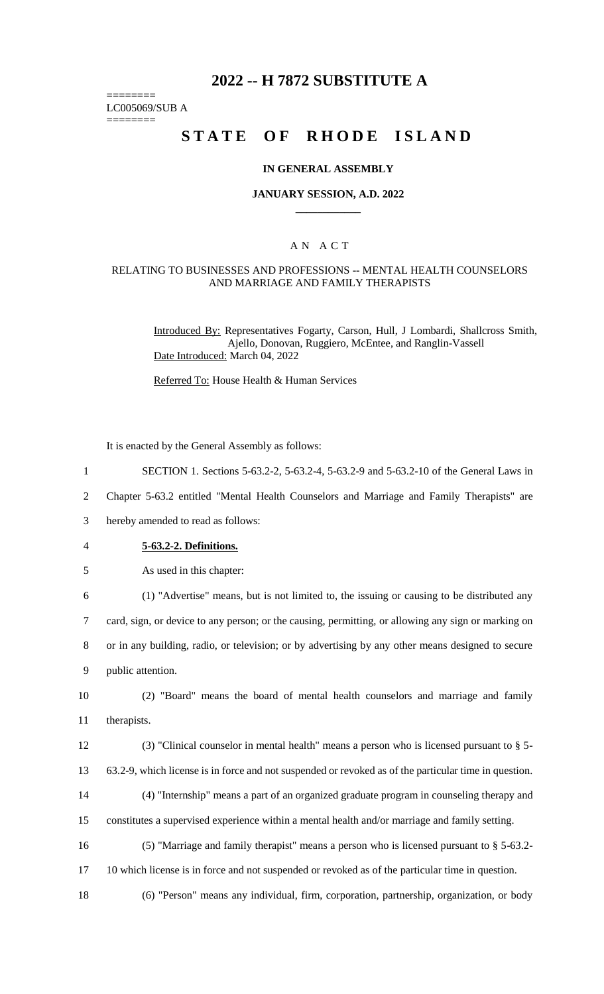# **2022 -- H 7872 SUBSTITUTE A**

======== LC005069/SUB A

========

# **STATE OF RHODE ISLAND**

#### **IN GENERAL ASSEMBLY**

#### **JANUARY SESSION, A.D. 2022 \_\_\_\_\_\_\_\_\_\_\_\_**

## A N A C T

#### RELATING TO BUSINESSES AND PROFESSIONS -- MENTAL HEALTH COUNSELORS AND MARRIAGE AND FAMILY THERAPISTS

Introduced By: Representatives Fogarty, Carson, Hull, J Lombardi, Shallcross Smith, Ajello, Donovan, Ruggiero, McEntee, and Ranglin-Vassell Date Introduced: March 04, 2022

Referred To: House Health & Human Services

It is enacted by the General Assembly as follows:

- 1 SECTION 1. Sections 5-63.2-2, 5-63.2-4, 5-63.2-9 and 5-63.2-10 of the General Laws in
- 2 Chapter 5-63.2 entitled "Mental Health Counselors and Marriage and Family Therapists" are

3 hereby amended to read as follows:

- 4 **5-63.2-2. Definitions.**
- 5 As used in this chapter:

6 (1) "Advertise" means, but is not limited to, the issuing or causing to be distributed any 7 card, sign, or device to any person; or the causing, permitting, or allowing any sign or marking on 8 or in any building, radio, or television; or by advertising by any other means designed to secure

9 public attention.

10 (2) "Board" means the board of mental health counselors and marriage and family 11 therapists.

12 (3) "Clinical counselor in mental health" means a person who is licensed pursuant to § 5- 13 63.2-9, which license is in force and not suspended or revoked as of the particular time in question.

14 (4) "Internship" means a part of an organized graduate program in counseling therapy and

15 constitutes a supervised experience within a mental health and/or marriage and family setting.

- 16 (5) "Marriage and family therapist" means a person who is licensed pursuant to § 5-63.2-
- 17 10 which license is in force and not suspended or revoked as of the particular time in question.

18 (6) "Person" means any individual, firm, corporation, partnership, organization, or body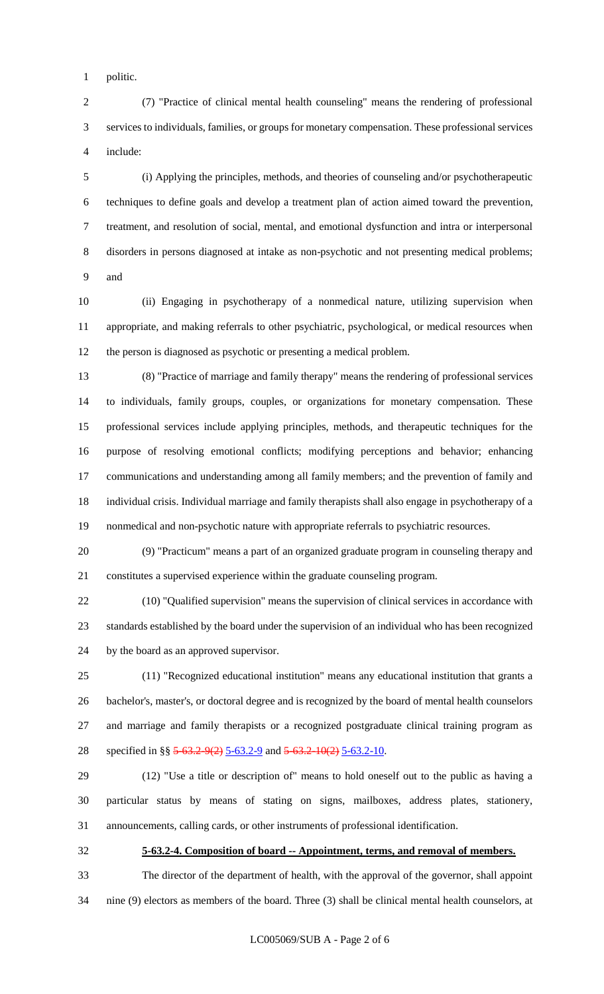politic.

 (7) "Practice of clinical mental health counseling" means the rendering of professional services to individuals, families, or groups for monetary compensation. These professional services include:

 (i) Applying the principles, methods, and theories of counseling and/or psychotherapeutic techniques to define goals and develop a treatment plan of action aimed toward the prevention, treatment, and resolution of social, mental, and emotional dysfunction and intra or interpersonal disorders in persons diagnosed at intake as non-psychotic and not presenting medical problems; and

 (ii) Engaging in psychotherapy of a nonmedical nature, utilizing supervision when appropriate, and making referrals to other psychiatric, psychological, or medical resources when the person is diagnosed as psychotic or presenting a medical problem.

 (8) "Practice of marriage and family therapy" means the rendering of professional services to individuals, family groups, couples, or organizations for monetary compensation. These professional services include applying principles, methods, and therapeutic techniques for the purpose of resolving emotional conflicts; modifying perceptions and behavior; enhancing communications and understanding among all family members; and the prevention of family and individual crisis. Individual marriage and family therapists shall also engage in psychotherapy of a nonmedical and non-psychotic nature with appropriate referrals to psychiatric resources.

 (9) "Practicum" means a part of an organized graduate program in counseling therapy and constitutes a supervised experience within the graduate counseling program.

 (10) "Qualified supervision" means the supervision of clinical services in accordance with standards established by the board under the supervision of an individual who has been recognized by the board as an approved supervisor.

 (11) "Recognized educational institution" means any educational institution that grants a bachelor's, master's, or doctoral degree and is recognized by the board of mental health counselors and marriage and family therapists or a recognized postgraduate clinical training program as 28 specified in §§ 5-63.2-9(2) 5-63.2-9 and 5-63.2-10(2) 5-63.2-10.

 (12) "Use a title or description of" means to hold oneself out to the public as having a particular status by means of stating on signs, mailboxes, address plates, stationery, announcements, calling cards, or other instruments of professional identification.

**5-63.2-4. Composition of board -- Appointment, terms, and removal of members.**

 The director of the department of health, with the approval of the governor, shall appoint nine (9) electors as members of the board. Three (3) shall be clinical mental health counselors, at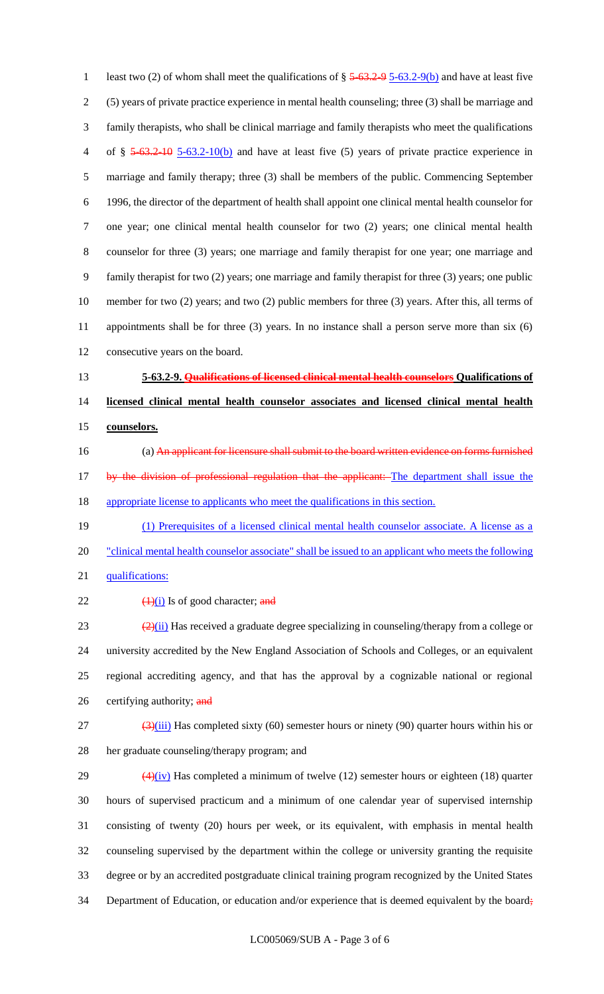1 least two (2) of whom shall meet the qualifications of  $\S 5-63.2-95-63.2-9(b)$  and have at least five (5) years of private practice experience in mental health counseling; three (3) shall be marriage and family therapists, who shall be clinical marriage and family therapists who meet the qualifications 4 of  $\S$  5-63.2-10 5-63.2-10(b) and have at least five (5) years of private practice experience in marriage and family therapy; three (3) shall be members of the public. Commencing September 1996, the director of the department of health shall appoint one clinical mental health counselor for one year; one clinical mental health counselor for two (2) years; one clinical mental health counselor for three (3) years; one marriage and family therapist for one year; one marriage and family therapist for two (2) years; one marriage and family therapist for three (3) years; one public member for two (2) years; and two (2) public members for three (3) years. After this, all terms of appointments shall be for three (3) years. In no instance shall a person serve more than six (6) consecutive years on the board. **5-63.2-9. Qualifications of licensed clinical mental health counselors Qualifications of licensed clinical mental health counselor associates and licensed clinical mental health counselors.** (a) An applicant for licensure shall submit to the board written evidence on forms furnished 17 by the division of professional regulation that the applicant: The department shall issue the appropriate license to applicants who meet the qualifications in this section. (1) Prerequisites of a licensed clinical mental health counselor associate. A license as a 20 "clinical mental health counselor associate" shall be issued to an applicant who meets the following qualifications:  $\left(\frac{1}{1}\right)$  Is of good character; and  $\left( \frac{2}{i} \right)$  Has received a graduate degree specializing in counseling/therapy from a college or university accredited by the New England Association of Schools and Colleges, or an equivalent regional accrediting agency, and that has the approval by a cognizable national or regional 26 certifying authority; and  $\frac{(3)(iii)}{27}$  Has completed sixty (60) semester hours or ninety (90) quarter hours within his or her graduate counseling/therapy program; and  $\left(4\right)\left(iv\right)$  Has completed a minimum of twelve (12) semester hours or eighteen (18) quarter hours of supervised practicum and a minimum of one calendar year of supervised internship consisting of twenty (20) hours per week, or its equivalent, with emphasis in mental health counseling supervised by the department within the college or university granting the requisite

- degree or by an accredited postgraduate clinical training program recognized by the United States
- 34 Department of Education, or education and/or experience that is deemed equivalent by the board;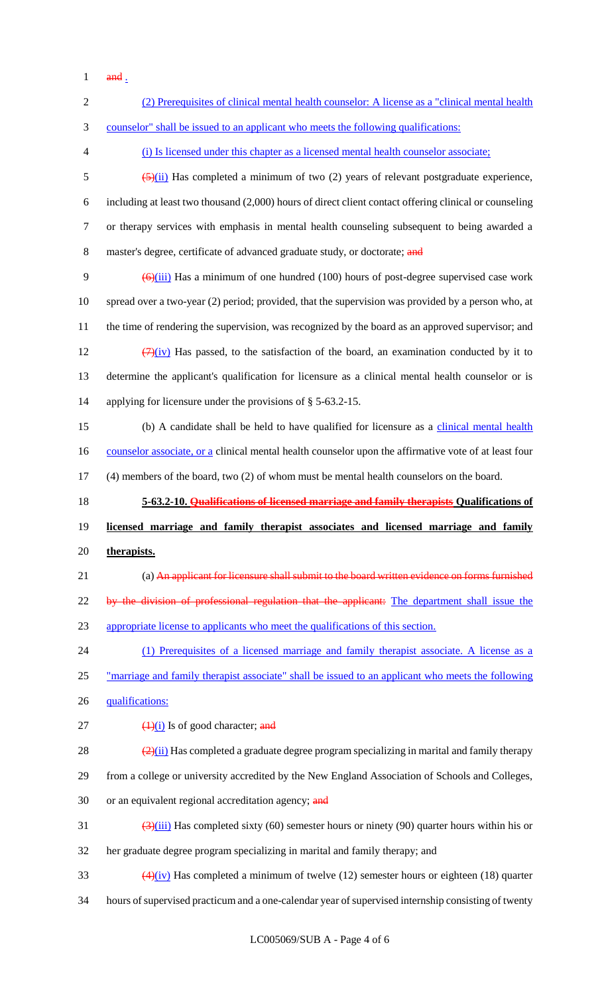$1$  and  $\frac{1}{2}$ 

| $\mathbf{2}$ | (2) Prerequisites of clinical mental health counselor: A license as a "clinical mental health                             |
|--------------|---------------------------------------------------------------------------------------------------------------------------|
| 3            | counselor" shall be issued to an applicant who meets the following qualifications:                                        |
| 4            | (i) Is licensed under this chapter as a licensed mental health counselor associate;                                       |
| 5            | $\frac{5}{2}$ (ii) Has completed a minimum of two (2) years of relevant postgraduate experience,                          |
| 6            | including at least two thousand (2,000) hours of direct client contact offering clinical or counseling                    |
| $\tau$       | or therapy services with emphasis in mental health counseling subsequent to being awarded a                               |
| $8\,$        | master's degree, certificate of advanced graduate study, or doctorate; and                                                |
| 9            | $\left(\frac{6}{111}\right)$ Has a minimum of one hundred (100) hours of post-degree supervised case work                 |
| 10           | spread over a two-year (2) period; provided, that the supervision was provided by a person who, at                        |
| 11           | the time of rendering the supervision, was recognized by the board as an approved supervisor; and                         |
| 12           | $\frac{7}{2}(iv)$ Has passed, to the satisfaction of the board, an examination conducted by it to                         |
| 13           | determine the applicant's qualification for licensure as a clinical mental health counselor or is                         |
| 14           | applying for licensure under the provisions of $\S$ 5-63.2-15.                                                            |
| 15           | (b) A candidate shall be held to have qualified for licensure as a clinical mental health                                 |
| 16           | counselor associate, or a clinical mental health counselor upon the affirmative vote of at least four                     |
| 17           | (4) members of the board, two (2) of whom must be mental health counselors on the board.                                  |
|              |                                                                                                                           |
| 18           | 5-63.2-10. Qualifications of licensed marriage and family therapists Qualifications of                                    |
| 19           | licensed marriage and family therapist associates and licensed marriage and family                                        |
| 20           | therapists.                                                                                                               |
| 21           | (a) An applicant for licensure shall submit to the board written evidence on forms furnished                              |
| 22           | by the division of professional regulation that the applicant: The department shall issue the                             |
| 23           | appropriate license to applicants who meet the qualifications of this section.                                            |
| 24           | (1) Prerequisites of a licensed marriage and family therapist associate. A license as a                                   |
| 25           | <u>"marriage and family therapist associate" shall be issued to an applicant who meets the following</u>                  |
|              | qualifications:                                                                                                           |
| 26<br>27     | $\frac{1}{1}$ Is of good character; and                                                                                   |
| 28           | $\frac{2(2)(ii)}{2}$ Has completed a graduate degree program specializing in marital and family therapy                   |
| 29           | from a college or university accredited by the New England Association of Schools and Colleges,                           |
| 30           | or an equivalent regional accreditation agency; and                                                                       |
| 31           | $\frac{(\lambda)(iii)}{(\lambda)(iv)}$ Has completed sixty (60) semester hours or ninety (90) quarter hours within his or |
| 32           | her graduate degree program specializing in marital and family therapy; and                                               |
| 33           | $\frac{4(4)(iv)}{2}$ Has completed a minimum of twelve (12) semester hours or eighteen (18) quarter                       |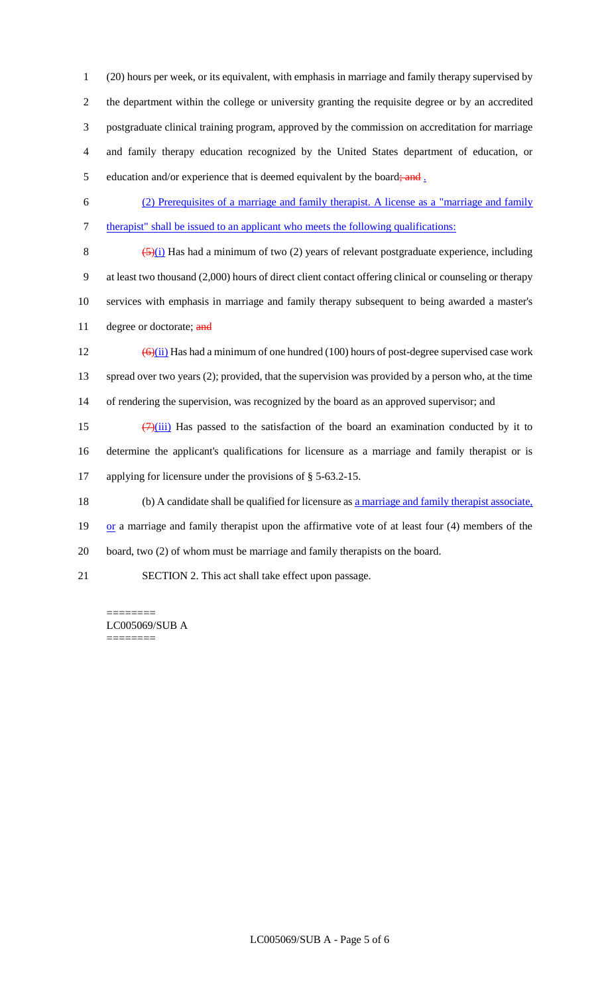(20) hours per week, or its equivalent, with emphasis in marriage and family therapy supervised by the department within the college or university granting the requisite degree or by an accredited postgraduate clinical training program, approved by the commission on accreditation for marriage and family therapy education recognized by the United States department of education, or 5 education and/or experience that is deemed equivalent by the board; and  $\frac{1}{2}$ 

6 (2) Prerequisites of a marriage and family therapist. A license as a "marriage and family 7 therapist" shall be issued to an applicant who meets the following qualifications:

 $(5)(i)$  Has had a minimum of two (2) years of relevant postgraduate experience, including at least two thousand (2,000) hours of direct client contact offering clinical or counseling or therapy services with emphasis in marriage and family therapy subsequent to being awarded a master's 11 degree or doctorate; and

12  $\left(\frac{\Theta}{ii}\right)$  Has had a minimum of one hundred (100) hours of post-degree supervised case work 13 spread over two years (2); provided, that the supervision was provided by a person who, at the time 14 of rendering the supervision, was recognized by the board as an approved supervisor; and

15  $(7)(iii)$  Has passed to the satisfaction of the board an examination conducted by it to 16 determine the applicant's qualifications for licensure as a marriage and family therapist or is 17 applying for licensure under the provisions of § 5-63.2-15.

18 (b) A candidate shall be qualified for licensure as a marriage and family therapist associate,

19 or a marriage and family therapist upon the affirmative vote of at least four (4) members of the 20 board, two (2) of whom must be marriage and family therapists on the board.

21 SECTION 2. This act shall take effect upon passage.

======== LC005069/SUB A ========